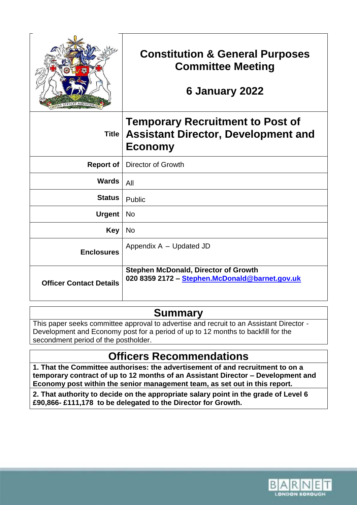|                                | <b>Constitution &amp; General Purposes</b><br><b>Committee Meeting</b><br>6 January 2022                |
|--------------------------------|---------------------------------------------------------------------------------------------------------|
| <b>Title</b>                   | <b>Temporary Recruitment to Post of</b><br><b>Assistant Director, Development and</b><br><b>Economy</b> |
| <b>Report of</b>               | <b>Director of Growth</b>                                                                               |
| <b>Wards</b>                   | All                                                                                                     |
| <b>Status</b>                  | Public                                                                                                  |
| <b>Urgent</b>                  | <b>No</b>                                                                                               |
| <b>Key</b>                     | No                                                                                                      |
| <b>Enclosures</b>              | Appendix A - Updated JD                                                                                 |
| <b>Officer Contact Details</b> | <b>Stephen McDonald, Director of Growth</b><br>020 8359 2172 - Stephen.McDonald@barnet.gov.uk           |

## **Summary**

This paper seeks committee approval to advertise and recruit to an Assistant Director - Development and Economy post for a period of up to 12 months to backfill for the secondment period of the postholder.

# **Officers Recommendations**

**1. That the Committee authorises: the advertisement of and recruitment to on a temporary contract of up to 12 months of an Assistant Director – Development and Economy post within the senior management team, as set out in this report.**

**2. That authority to decide on the appropriate salary point in the grade of Level 6 £90,866- £111,178 to be delegated to the Director for Growth.**

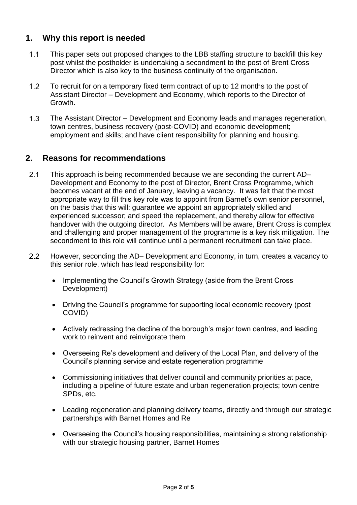## **1. Why this report is needed**

- $1.1$ This paper sets out proposed changes to the LBB staffing structure to backfill this key post whilst the postholder is undertaking a secondment to the post of Brent Cross Director which is also key to the business continuity of the organisation.
- $1.2$ To recruit for on a temporary fixed term contract of up to 12 months to the post of Assistant Director – Development and Economy, which reports to the Director of Growth.
- $1.3$ The Assistant Director – Development and Economy leads and manages regeneration, town centres, business recovery (post-COVID) and economic development; employment and skills; and have client responsibility for planning and housing.

## **2. Reasons for recommendations**

- $2.1$ This approach is being recommended because we are seconding the current AD– Development and Economy to the post of Director, Brent Cross Programme, which becomes vacant at the end of January, leaving a vacancy. It was felt that the most appropriate way to fill this key role was to appoint from Barnet's own senior personnel, on the basis that this will: guarantee we appoint an appropriately skilled and experienced successor; and speed the replacement, and thereby allow for effective handover with the outgoing director. As Members will be aware, Brent Cross is complex and challenging and proper management of the programme is a key risk mitigation. The secondment to this role will continue until a permanent recruitment can take place.
- $2.2$ However, seconding the AD– Development and Economy, in turn, creates a vacancy to this senior role, which has lead responsibility for:
	- Implementing the Council's Growth Strategy (aside from the Brent Cross Development)
	- Driving the Council's programme for supporting local economic recovery (post COVID)
	- Actively redressing the decline of the borough's major town centres, and leading work to reinvent and reinvigorate them
	- Overseeing Re's development and delivery of the Local Plan, and delivery of the Council's planning service and estate regeneration programme
	- Commissioning initiatives that deliver council and community priorities at pace, including a pipeline of future estate and urban regeneration projects; town centre SPDs, etc.
	- Leading regeneration and planning delivery teams, directly and through our strategic partnerships with Barnet Homes and Re
	- Overseeing the Council's housing responsibilities, maintaining a strong relationship with our strategic housing partner, Barnet Homes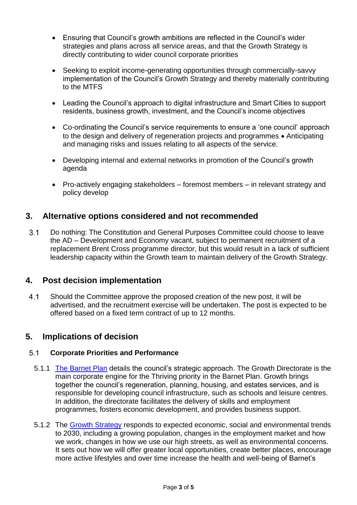- Ensuring that Council's growth ambitions are reflected in the Council's wider strategies and plans across all service areas, and that the Growth Strategy is directly contributing to wider council corporate priorities
- Seeking to exploit income-generating opportunities through commercially-savvy implementation of the Council's Growth Strategy and thereby materially contributing to the MTFS
- Leading the Council's approach to digital infrastructure and Smart Cities to support residents, business growth, investment, and the Council's income objectives
- Co-ordinating the Council's service requirements to ensure a 'one council' approach to the design and delivery of regeneration projects and programmes • Anticipating and managing risks and issues relating to all aspects of the service.
- Developing internal and external networks in promotion of the Council's growth agenda
- Pro-actively engaging stakeholders foremost members in relevant strategy and policy develop

## **3. Alternative options considered and not recommended**

 $3.1$ Do nothing: The Constitution and General Purposes Committee could choose to leave the AD – Development and Economy vacant, subject to permanent recruitment of a replacement Brent Cross programme director, but this would result in a lack of sufficient leadership capacity within the Growth team to maintain delivery of the Growth Strategy.

### **4. Post decision implementation**

 $4.1$ Should the Committee approve the proposed creation of the new post, it will be advertised, and the recruitment exercise will be undertaken. The post is expected to be offered based on a fixed term contract of up to 12 months.

## **5. Implications of decision**

#### $5.1$ **Corporate Priorities and Performance**

- 5.1.1 [The Barnet Plan](https://www.barnet.gov.uk/your-council/policies-plans-and-performance/corporate-plan-and-performance) details the council's strategic approach. The Growth Directorate is the main corporate engine for the Thriving priority in the Barnet Plan. Growth brings together the council's regeneration, planning, housing, and estates services, and is responsible for developing council infrastructure, such as schools and leisure centres. In addition, the directorate facilitates the delivery of skills and employment programmes, fosters economic development, and provides business support.
- 5.1.2 The [Growth Strategy](https://www.barnet.gov.uk/regeneration/our-growth-strategy/about-growth-strategy) responds to expected economic, social and environmental trends to 2030, including a growing population, changes in the employment market and how we work, changes in how we use our high streets, as well as environmental concerns. It sets out how we will offer greater local opportunities, create better places, encourage more active lifestyles and over time increase the health and well-being of Barnet's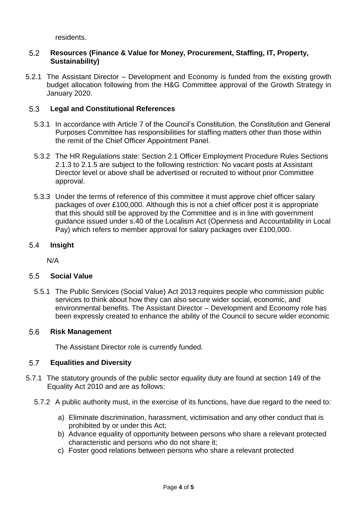residents.

#### $5.2$ **Resources (Finance & Value for Money, Procurement, Staffing, IT, Property, Sustainability)**

5.2.1 The Assistant Director – Development and Economy is funded from the existing growth budget allocation following from the H&G Committee approval of the Growth Strategy in January 2020.

#### **Legal and Constitutional References**  $5.3$

- 5.3.1 In accordance with Article 7 of the Council's Constitution, the Constitution and General Purposes Committee has responsibilities for staffing matters other than those within the remit of the Chief Officer Appointment Panel.
- 5.3.2 The HR Regulations state: Section 2.1 Officer Employment Procedure Rules Sections 2.1.3 to 2.1.5 are subject to the following restriction: No vacant posts at Assistant Director level or above shall be advertised or recruited to without prior Committee approval.
- 5.3.3 Under the terms of reference of this committee it must approve chief officer salary packages of over £100,000. Although this is not a chief officer post it is appropriate that this should still be approved by the Committee and is in line with government guidance issued under s.40 of the Localism Act (Openness and Accountability in Local Pay) which refers to member approval for salary packages over £100,000.

#### 5.4 **Insight**

N/A

#### $5.5$ **Social Value**

5.5.1 The Public Services (Social Value) Act 2013 requires people who commission public services to think about how they can also secure wider social, economic, and environmental benefits. The Assistant Director – Development and Economy role has been expressly created to enhance the ability of the Council to secure wider economic

#### 5.6 **Risk Management**

The Assistant Director role is currently funded.

#### $5.7$ **Equalities and Diversity**

- 5.7.1 The statutory grounds of the public sector equality duty are found at section 149 of the Equality Act 2010 and are as follows:
	- 5.7.2 A public authority must, in the exercise of its functions, have due regard to the need to:
		- a) Eliminate discrimination, harassment, victimisation and any other conduct that is prohibited by or under this Act;
		- b) Advance equality of opportunity between persons who share a relevant protected characteristic and persons who do not share it;
		- c) Foster good relations between persons who share a relevant protected